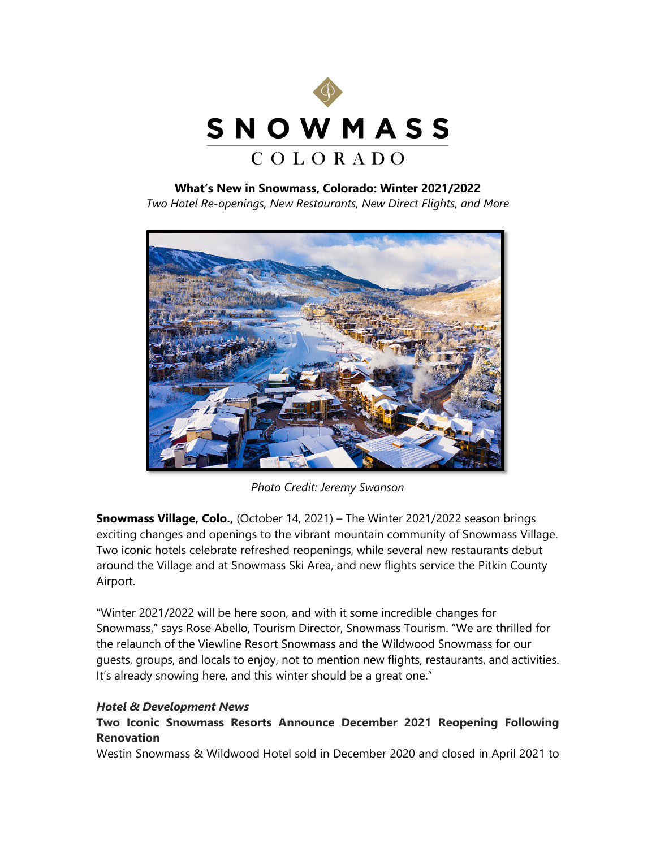

## **What's New in Snowmass, Colorado: Winter 2021/2022**

*Two Hotel Re-openings, New Restaurants, New Direct Flights, and More*



*Photo Credit: Jeremy Swanson* 

**Snowmass Village, Colo.,** (October 14, 2021) – The Winter 2021/2022 season brings exciting changes and openings to the vibrant mountain community of Snowmass Village. Two iconic hotels celebrate refreshed reopenings, while several new restaurants debut around the Village and at Snowmass Ski Area, and new flights service the Pitkin County Airport.

"Winter 2021/2022 will be here soon, and with it some incredible changes for Snowmass," says Rose Abello, Tourism Director, Snowmass Tourism. "We are thrilled for the relaunch of the Viewline Resort Snowmass and the Wildwood Snowmass for our guests, groups, and locals to enjoy, not to mention new flights, restaurants, and activities. It's already snowing here, and this winter should be a great one."

## *Hotel & Development News*

# **Two Iconic Snowmass Resorts Announce December 2021 Reopening Following Renovation**

Westin Snowmass & Wildwood Hotel sold in December 2020 and closed in April 2021 to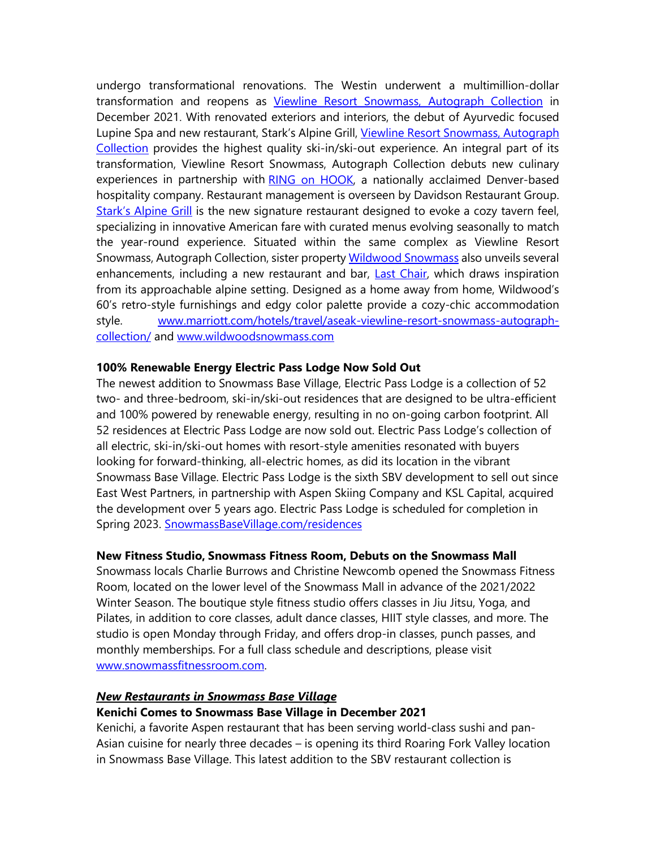undergo transformational renovations. The Westin underwent a multimillion-dollar transformation and reopens as [Viewline Resort Snowmass, Autograph Collection](https://www.marriott.com/hotels/travel/aseak-viewline-resort-snowmass-autograph-collection/) in December 2021. With renovated exteriors and interiors, the debut of Ayurvedic focused Lupine Spa and new restaurant, Stark's Alpine Grill, Viewline Resort Snowmass, Autograph [Collection](https://www.marriott.com/hotels/travel/aseak-viewline-resort-snowmass-autograph-collection/) provides the highest quality ski-in/ski-out experience. An integral part of its transformation, Viewline Resort Snowmass, Autograph Collection debuts new culinary experiences in partnership with [RING on HOOK,](https://www.ringonhook.com/) a nationally acclaimed Denver-based hospitality company. Restaurant management is overseen by Davidson Restaurant Group. [Stark's Alpine Grill](https://www.marriott.com/hotels/hotel-information/restaurant/aseak-viewline-resort-snowmass-autograph-collection/) is the new signature restaurant designed to evoke a cozy tavern feel, specializing in innovative American fare with curated menus evolving seasonally to match the year-round experience. Situated within the same complex as Viewline Resort Snowmass, Autograph Collection, sister propert[y Wildwood Snowmass](https://www.wildwoodsnowmass.com/) also unveils several enhancements, including a new restaurant and bar, [Last Chair,](https://www.wildwoodsnowmass.com/dine/last-chair/) which draws inspiration from its approachable alpine setting. Designed as a home away from home, Wildwood's 60's retro-style furnishings and edgy color palette provide a cozy-chic accommodation style. [www.marriott.com/hotels/travel/aseak-viewline-resort-snowmass-autograph](http://www.marriott.com/hotels/travel/aseak-viewline-resort-snowmass-autograph-collection/)[collection/](http://www.marriott.com/hotels/travel/aseak-viewline-resort-snowmass-autograph-collection/) and [www.wildwoodsnowmass.com](http://www.wildwoodsnowmass.com/)

#### **100% Renewable Energy Electric Pass Lodge Now Sold Out**

The newest addition to Snowmass Base Village, Electric Pass Lodge is a collection of 52 two- and three-bedroom, ski-in/ski-out residences that are designed to be ultra-efficient and 100% powered by renewable energy, resulting in no on-going carbon footprint. All 52 residences at Electric Pass Lodge are now sold out. Electric Pass Lodge's collection of all electric, ski-in/ski-out homes with resort-style amenities resonated with buyers looking for forward-thinking, all-electric homes, as did its location in the vibrant Snowmass Base Village. Electric Pass Lodge is the sixth SBV development to sell out since East West Partners, in partnership with Aspen Skiing Company and KSL Capital, acquired the development over 5 years ago. Electric Pass Lodge is scheduled for completion in Spring 2023. [SnowmassBaseVillage.com/residences](https://www.allinsnowmass.com/residences/)

#### **New Fitness Studio, Snowmass Fitness Room, Debuts on the Snowmass Mall**

Snowmass locals Charlie Burrows and Christine Newcomb opened the Snowmass Fitness Room, located on the lower level of the Snowmass Mall in advance of the 2021/2022 Winter Season. The boutique style fitness studio offers classes in Jiu Jitsu, Yoga, and Pilates, in addition to core classes, adult dance classes, HIIT style classes, and more. The studio is open Monday through Friday, and offers drop-in classes, punch passes, and monthly memberships. For a full class schedule and descriptions, please visit [www.snowmassfitnessroom.com.](http://www.snowmassfitnessroom.com/)

#### *New Restaurants in Snowmass Base Village*

#### **Kenichi Comes to Snowmass Base Village in December 2021**

Kenichi, a favorite Aspen restaurant that has been serving world-class sushi and pan-Asian cuisine for nearly three decades – is opening its third Roaring Fork Valley location in Snowmass Base Village. This latest addition to the SBV restaurant collection is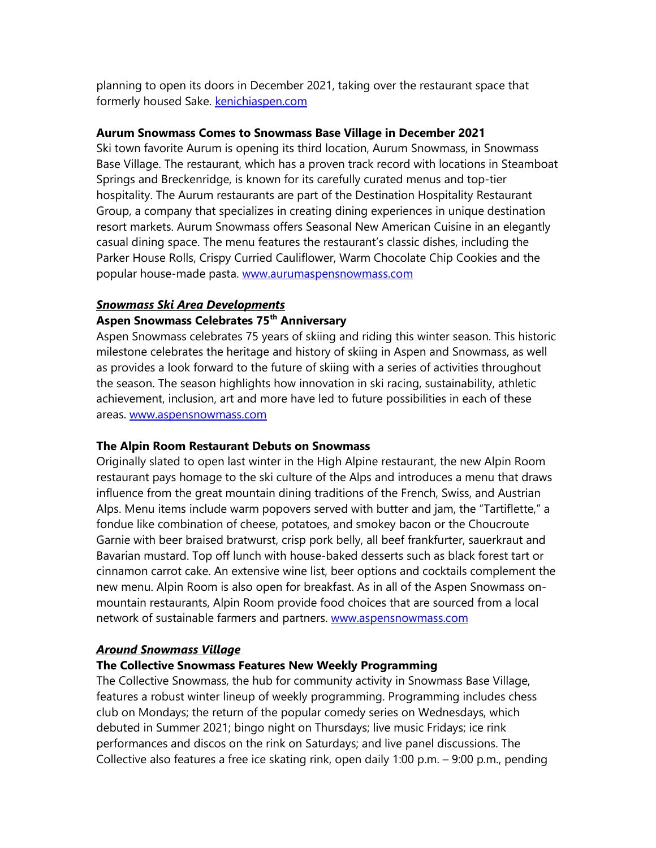planning to open its doors in December 2021, taking over the restaurant space that formerly housed Sake. [kenichiaspen.com](http://kenichiaspen.com/)

#### **Aurum Snowmass Comes to Snowmass Base Village in December 2021**

Ski town favorite Aurum is opening its third location, Aurum Snowmass, in Snowmass Base Village. The restaurant, which has a proven track record with locations in Steamboat Springs and Breckenridge, is known for its carefully curated menus and top-tier hospitality. The Aurum restaurants are part of the Destination Hospitality Restaurant Group, a company that specializes in creating dining experiences in unique destination resort markets. Aurum Snowmass offers Seasonal New American Cuisine in an elegantly casual dining space. The menu features the restaurant's classic dishes, including the Parker House Rolls, Crispy Curried Cauliflower, Warm Chocolate Chip Cookies and the popular house-made pasta. [www.aurumaspensnowmass.com](http://www.aurumaspensnowmass.com/)

# *Snowmass Ski Area Developments*

# **Aspen Snowmass Celebrates 75th Anniversary**

Aspen Snowmass celebrates 75 years of skiing and riding this winter season. This historic milestone celebrates the heritage and history of skiing in Aspen and Snowmass, as well as provides a look forward to the future of skiing with a series of activities throughout the season. The season highlights how innovation in ski racing, sustainability, athletic achievement, inclusion, art and more have led to future possibilities in each of these areas. [www.aspensnowmass.com](http://www.aspensnowmass.com/)

#### **The Alpin Room Restaurant Debuts on Snowmass**

Originally slated to open last winter in the High Alpine restaurant, the new Alpin Room restaurant pays homage to the ski culture of the Alps and introduces a menu that draws influence from the great mountain dining traditions of the French, Swiss, and Austrian Alps. Menu items include warm popovers served with butter and jam, the "Tartiflette," a fondue like combination of cheese, potatoes, and smokey bacon or the Choucroute Garnie with beer braised bratwurst, crisp pork belly, all beef frankfurter, sauerkraut and Bavarian mustard. Top off lunch with house-baked desserts such as black forest tart or cinnamon carrot cake. An extensive wine list, beer options and cocktails complement the new menu. Alpin Room is also open for breakfast. As in all of the Aspen Snowmass onmountain restaurants, Alpin Room provide food choices that are sourced from a local network of sustainable farmers and partners. [www.aspensnowmass.com](http://www.aspensnowmass.com/)

#### *Around Snowmass Village*

### **The Collective Snowmass Features New Weekly Programming**

The Collective Snowmass, the hub for community activity in Snowmass Base Village, features a robust winter lineup of weekly programming. Programming includes chess club on Mondays; the return of the popular comedy series on Wednesdays, which debuted in Summer 2021; bingo night on Thursdays; live music Fridays; ice rink performances and discos on the rink on Saturdays; and live panel discussions. The Collective also features a free ice skating rink, open daily 1:00 p.m. – 9:00 p.m., pending